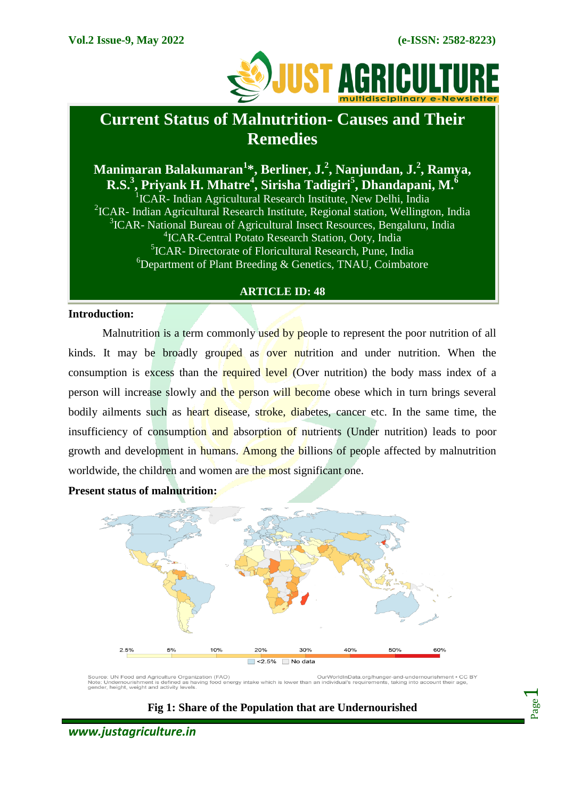

# **Current Status of Malnutrition- Causes and Their Remedies**

# **Manimaran Balakumaran<sup>1</sup> \*, Berliner, J.<sup>2</sup> , Nanjundan, J.<sup>2</sup> , Ramya, R.S.<sup>3</sup> , Priyank H. Mhatre<sup>4</sup> , Sirisha Tadigiri<sup>5</sup> , Dhandapani, M.<sup>6</sup>**

<sup>1</sup>ICAR- Indian Agricultural Research Institute, New Delhi, India <sup>2</sup>ICAR- Indian Agricultural Research Institute, Regional station, Wellington, India <sup>3</sup>ICAR- National Bureau of Agricultural Insect Resources, Bengaluru, India 4 ICAR-Central Potato Research Station, Ooty, India 5 ICAR- Directorate of Floricultural Research, Pune, India  $6$ Department of Plant Breeding & Genetics, TNAU, Coimbatore

#### **ARTICLE ID: 48**

#### **Introduction:**

Malnutrition is a term commonly used by people to represent the poor nutrition of all kinds. It may be broadly grouped as over nutrition and under nutrition. When the consumption is excess than the required level (Over nutrition) the body mass index of a person will increase slowly and the person will become obese which in turn brings several bodily ailments such as heart disease, stroke, diabetes, cancer etc. In the same time, the insufficiency of consumption and absorption of nutrients (Under nutrition) leads to poor growth and development in humans. Among the billions of people affected by malnutrition worldwide, the children and women are the most significant one.

#### **Present status of malnutrition:**



Source: UN Food and Agriculture Organization (FAO)<br>Note: Undernourishment is defined as having food energy intake which<br>gender, height, weight and activity levels. OurWorldInData.org/hunger-and-undernourishment • CC BY<br>lower than an individual's requirements, taking into account their age,



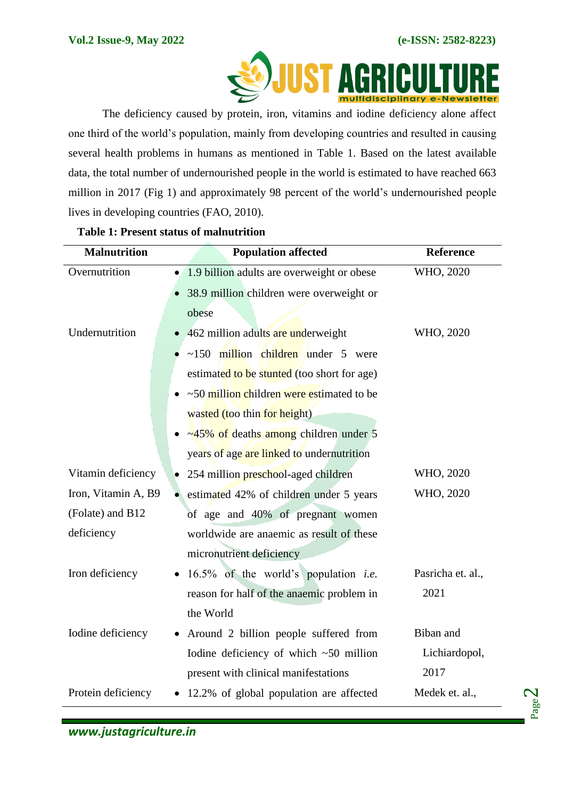

The deficiency caused by protein, iron, vitamins and iodine deficiency alone affect one third of the world's population, mainly from developing countries and resulted in causing several health problems in humans as mentioned in [Table 1.](#page-1-0) Based on the latest available data, the total number of undernourished people in the world is estimated to have reached 663 million in 2017 (Fig 1) and approximately 98 percent of the world's undernourished people lives in developing countries (FAO, 2010).

| <b>Malnutrition</b> | <b>Population affected</b>                     | <b>Reference</b>  |
|---------------------|------------------------------------------------|-------------------|
| Overnutrition       | • 1.9 billion adults are overweight or obese   | WHO, 2020         |
|                     | 38.9 million children were overweight or       |                   |
|                     | obese                                          |                   |
| Undernutrition      | 462 million adults are underweight             | WHO, 2020         |
|                     | $\sim$ 150 million children under 5 were       |                   |
|                     | estimated to be stunted (too short for age)    |                   |
|                     | ~50 million children were estimated to be      |                   |
|                     | wasted (too thin for height)                   |                   |
|                     | $\approx$ 45% of deaths among children under 5 |                   |
|                     | years of age are linked to undernutrition      |                   |
| Vitamin deficiency  | 254 million preschool-aged children            | WHO, 2020         |
| Iron, Vitamin A, B9 | • estimated 42% of children under 5 years      | WHO, 2020         |
| (Folate) and B12    | of age and 40% of pregnant women               |                   |
| deficiency          | worldwide are anaemic as result of these       |                   |
|                     | micronutrient deficiency                       |                   |
| Iron deficiency     | 16.5% of the world's population <i>i.e.</i>    | Pasricha et. al., |
|                     | reason for half of the anaemic problem in      | 2021              |
|                     | the World                                      |                   |
| Iodine deficiency   | Around 2 billion people suffered from          | Biban and         |
|                     | Iodine deficiency of which $~50$ million       | Lichiardopol,     |
|                     | present with clinical manifestations           | 2017              |
| Protein deficiency  | • 12.2% of global population are affected      | Medek et. al.,    |
|                     |                                                |                   |

#### <span id="page-1-0"></span>**Table 1: Present status of malnutrition**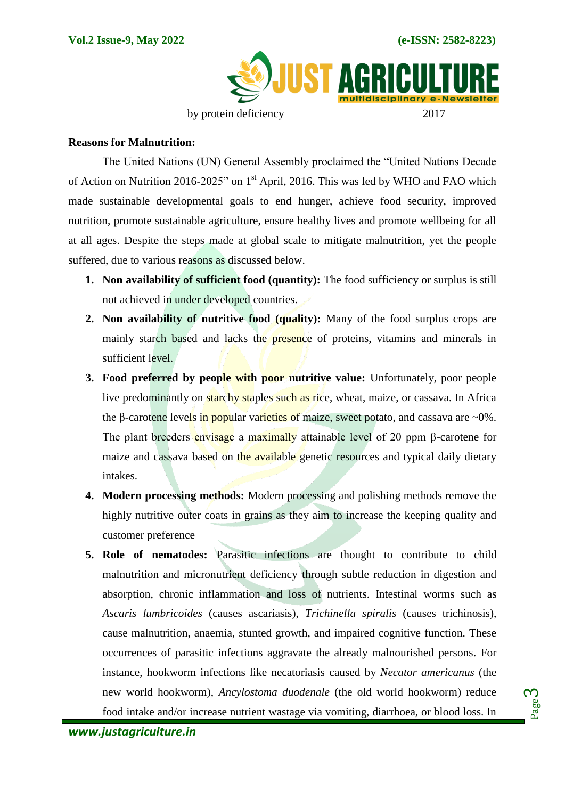

#### **Reasons for Malnutrition:**

The United Nations (UN) General Assembly proclaimed the "United Nations Decade of Action on Nutrition 2016-2025" on 1<sup>st</sup> April, 2016. This was led by WHO and FAO which made sustainable developmental goals to end hunger, achieve food security, improved nutrition, promote sustainable agriculture, ensure healthy lives and promote wellbeing for all at all ages. Despite the steps made at global scale to mitigate malnutrition, yet the people suffered, due to various reasons as discussed below.

- **1. Non availability of sufficient food (quantity):** The food sufficiency or surplus is still not achieved in under developed countries.
- **2. Non availability of nutritive food (quality):** Many of the food surplus crops are mainly starch based and lacks the presence of proteins, vitamins and minerals in sufficient level.
- **3. Food preferred by people with poor nutritive value:** Unfortunately, poor people live predominantly on starchy staples such as rice, wheat, maize, or cassava. In Africa the β-carotene levels in popular varieties of maize, sweet potato, and cassava are  $\sim 0\%$ . The plant breeders envisage a maximally attainable level of 20 ppm β-carotene for maize and cassava based on the available genetic resources and typical daily dietary intakes.
- **4. Modern processing methods:** Modern processing and polishing methods remove the highly nutritive outer coats in grains as they aim to increase the keeping quality and customer preference
- **5. Role of nematodes:** Parasitic infections are thought to contribute to child malnutrition and micronutrient deficiency through subtle reduction in digestion and absorption, chronic inflammation and loss of nutrients. Intestinal worms such as *Ascaris lumbricoides* (causes ascariasis), *Trichinella spiralis* (causes trichinosis), cause malnutrition, anaemia, stunted growth, and impaired cognitive function. These occurrences of parasitic infections aggravate the already malnourished persons. For instance, hookworm infections like necatoriasis caused by *Necator americanus* (the new world hookworm), *Ancylostoma duodenale* (the old world hookworm) reduce food intake and/or increase nutrient wastage via vomiting, diarrhoea, or blood loss. In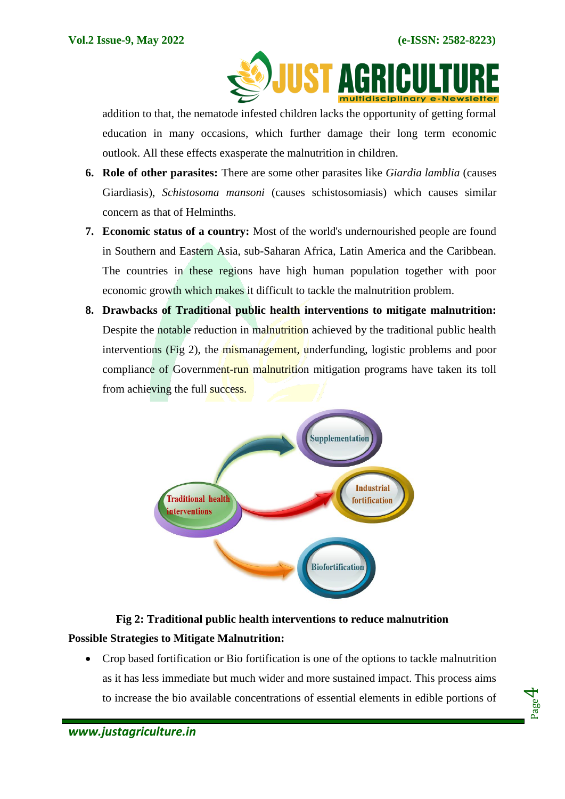

addition to that, the nematode infested children lacks the opportunity of getting formal education in many occasions, which further damage their long term economic outlook. All these effects exasperate the malnutrition in children.

- **6. Role of other parasites:** There are some other parasites like *Giardia lamblia* (causes Giardiasis), *Schistosoma mansoni* (causes schistosomiasis) which causes similar concern as that of Helminths.
- **7. Economic status of a country:** Most of the world's undernourished people are found in Southern and Eastern Asia, sub-Saharan Africa, Latin America and the Caribbean. The countries in these regions have high human population together with poor economic growth which makes it difficult to tackle the malnutrition problem.
- **8. Drawbacks of Traditional public health interventions to mitigate malnutrition:**  Despite the notable reduction in malnutrition achieved by the traditional public health interventions (Fig 2), the mismanagement, underfunding, logistic problems and poor compliance of Government-run malnutrition mitigation programs have taken its toll from achieving the full success.



## **Fig 2: Traditional public health interventions to reduce malnutrition**

## **Possible Strategies to Mitigate Malnutrition:**

 Crop based fortification or Bio fortification is one of the options to tackle malnutrition as it has less immediate but much wider and more sustained impact. This process aims to increase the bio available concentrations of essential elements in edible portions of

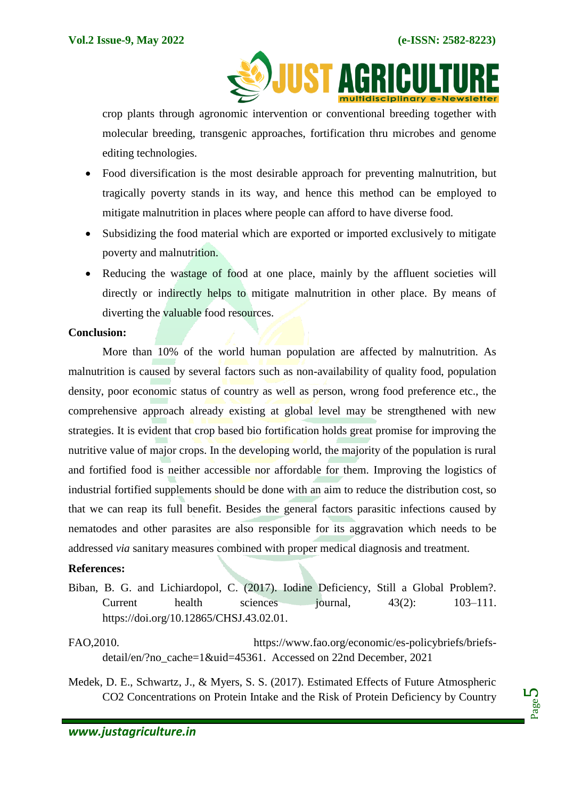

crop plants through agronomic intervention or conventional breeding together with molecular breeding, transgenic approaches, fortification thru microbes and genome editing technologies.

- Food diversification is the most desirable approach for preventing malnutrition, but tragically poverty stands in its way, and hence this method can be employed to mitigate malnutrition in places where people can afford to have diverse food.
- Subsidizing the food material which are exported or imported exclusively to mitigate poverty and malnutrition.
- Reducing the wastage of food at one place, mainly by the affluent societies will directly or indirectly helps to mitigate malnutrition in other place. By means of diverting the valuable food resources.

#### **Conclusion:**

More than 10% of the world human population are affected by malnutrition. As malnutrition is caused by several factors such as non-availability of quality food, population density, poor economic status of country as well as person, wrong food preference etc., the comprehensive approach already existing at global level may be strengthened with new strategies. It is evident that crop based bio fortification holds great promise for improving the nutritive value of major crops. In the developing world, the majority of the population is rural and fortified food is neither accessible nor affordable for them. Improving the logistics of industrial fortified supplements should be done with an aim to reduce the distribution cost, so that we can reap its full benefit. Besides the general factors parasitic infections caused by nematodes and other parasites are also responsible for its aggravation which needs to be addressed *via* sanitary measures combined with proper medical diagnosis and treatment.

#### **References:**

- Biban, B. G. and Lichiardopol, C. (2017). Iodine Deficiency, Still a Global Problem?. Current health sciences journal, 43(2): 103–111. [https://doi.org/10.12865/CHSJ.43.02.01.](https://doi.org/10.12865/CHSJ.43.02.01)
- FAO,2010. [https://www.fao.org/economic/es-policybriefs/briefs](https://www.fao.org/economic/es-policybriefs/briefs-detail/en/?no_cache=1&uid=45361)[detail/en/?no\\_cache=1&uid=45361.](https://www.fao.org/economic/es-policybriefs/briefs-detail/en/?no_cache=1&uid=45361) Accessed on 22nd December, 2021
- Medek, D. E., Schwartz, J., & Myers, S. S. (2017). Estimated Effects of Future Atmospheric CO2 Concentrations on Protein Intake and the Risk of Protein Deficiency by Country